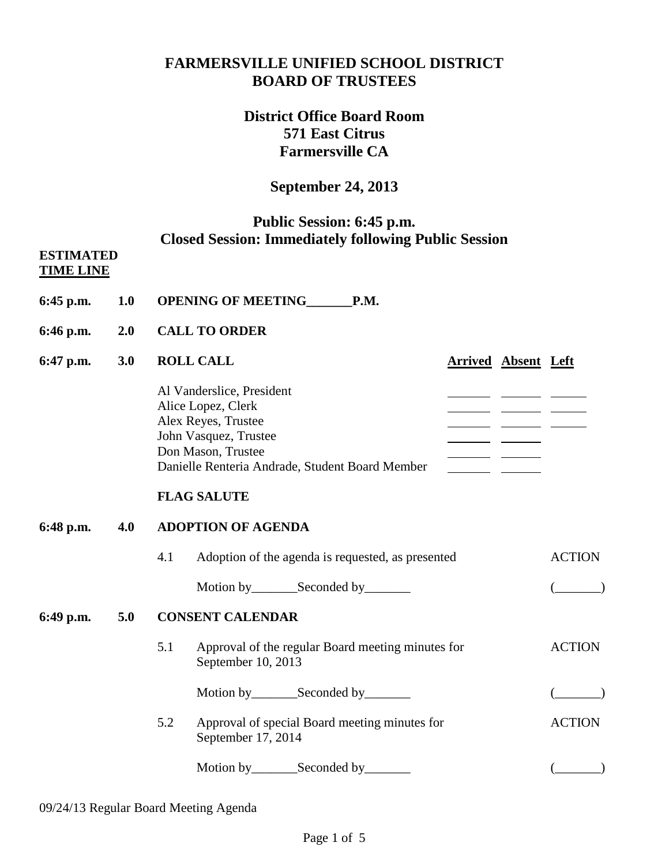# **FARMERSVILLE UNIFIED SCHOOL DISTRICT BOARD OF TRUSTEES**

# **District Office Board Room 571 East Citrus Farmersville CA**

## **September 24, 2013**

# **Public Session: 6:45 p.m. Closed Session: Immediately following Public Session**

#### **ESTIMATED TIME LINE**

- **6:45 p.m. 1.0 OPENING OF MEETING\_\_\_\_\_\_\_P.M.**
- **6:46 p.m. 2.0 CALL TO ORDER**

#### **6:47 p.m. 3.0 ROLL CALL Arrived Absent Left** Al Vanderslice, President Alice Lopez, Clerk and the contract of the contract of the contract of the contract of the contract of the contract of the contract of the contract of the contract of the contract of the contract of the contract of the con Alex Reyes, Trustee John Vasquez, Trustee Don Mason, Trustee Danielle Renteria Andrade, Student Board Member

## **FLAG SALUTE**

## **6:48 p.m. 4.0 ADOPTION OF AGENDA**

4.1 Adoption of the agenda is requested, as presented ACTION Motion by\_\_\_\_\_\_\_Seconded by\_\_\_\_\_\_\_ (\_\_\_\_\_\_\_)

## **6:49 p.m. 5.0 CONSENT CALENDAR**

- 5.1 Approval of the regular Board meeting minutes for ACTION September 10, 2013 Motion by\_\_\_\_\_\_\_Seconded by\_\_\_\_\_\_\_ (\_\_\_\_\_\_\_)
- 5.2 Approval of special Board meeting minutes for ACTION September 17, 2014
	- Motion by\_\_\_\_\_\_\_Seconded by\_\_\_\_\_\_\_ (\_\_\_\_\_\_\_)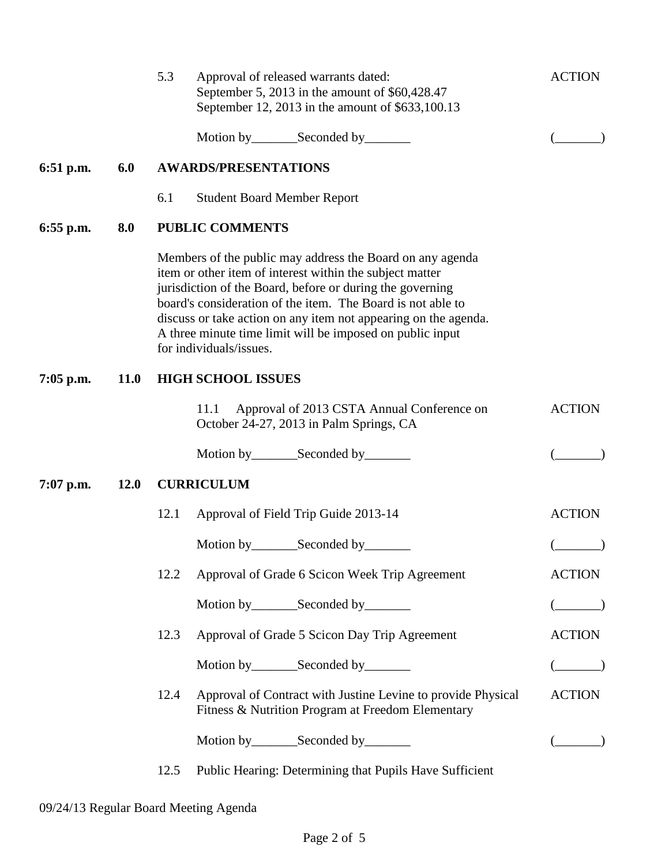|             |             | 5.3<br>Approval of released warrants dated:<br>September 5, 2013 in the amount of \$60,428.47<br>September 12, 2013 in the amount of \$633,100.13                                                                                                                                                                                                                                                            | <b>ACTION</b> |  |  |  |
|-------------|-------------|--------------------------------------------------------------------------------------------------------------------------------------------------------------------------------------------------------------------------------------------------------------------------------------------------------------------------------------------------------------------------------------------------------------|---------------|--|--|--|
|             |             | Motion by_________Seconded by________                                                                                                                                                                                                                                                                                                                                                                        |               |  |  |  |
| $6:51$ p.m. | 6.0         | <b>AWARDS/PRESENTATIONS</b>                                                                                                                                                                                                                                                                                                                                                                                  |               |  |  |  |
|             |             | 6.1<br><b>Student Board Member Report</b>                                                                                                                                                                                                                                                                                                                                                                    |               |  |  |  |
| $6:55$ p.m. | 8.0         | <b>PUBLIC COMMENTS</b>                                                                                                                                                                                                                                                                                                                                                                                       |               |  |  |  |
|             |             | Members of the public may address the Board on any agenda<br>item or other item of interest within the subject matter<br>jurisdiction of the Board, before or during the governing<br>board's consideration of the item. The Board is not able to<br>discuss or take action on any item not appearing on the agenda.<br>A three minute time limit will be imposed on public input<br>for individuals/issues. |               |  |  |  |
| $7:05$ p.m. | <b>11.0</b> | <b>HIGH SCHOOL ISSUES</b>                                                                                                                                                                                                                                                                                                                                                                                    |               |  |  |  |
|             |             | Approval of 2013 CSTA Annual Conference on<br>11.1<br>October 24-27, 2013 in Palm Springs, CA                                                                                                                                                                                                                                                                                                                | <b>ACTION</b> |  |  |  |
|             |             |                                                                                                                                                                                                                                                                                                                                                                                                              |               |  |  |  |
| $7:07$ p.m. | <b>12.0</b> | <b>CURRICULUM</b>                                                                                                                                                                                                                                                                                                                                                                                            |               |  |  |  |
|             |             | 12.1<br>Approval of Field Trip Guide 2013-14                                                                                                                                                                                                                                                                                                                                                                 | <b>ACTION</b> |  |  |  |
|             |             |                                                                                                                                                                                                                                                                                                                                                                                                              |               |  |  |  |
|             |             | 12.2<br>Approval of Grade 6 Scicon Week Trip Agreement                                                                                                                                                                                                                                                                                                                                                       | <b>ACTION</b> |  |  |  |
|             |             | Motion by __________ Seconded by _________                                                                                                                                                                                                                                                                                                                                                                   |               |  |  |  |
|             |             | 12.3<br>Approval of Grade 5 Scicon Day Trip Agreement                                                                                                                                                                                                                                                                                                                                                        | <b>ACTION</b> |  |  |  |
|             |             | Motion by_________Seconded by________                                                                                                                                                                                                                                                                                                                                                                        |               |  |  |  |
|             |             | 12.4<br>Approval of Contract with Justine Levine to provide Physical<br>Fitness & Nutrition Program at Freedom Elementary                                                                                                                                                                                                                                                                                    | <b>ACTION</b> |  |  |  |
|             |             | Motion by__________Seconded by__________                                                                                                                                                                                                                                                                                                                                                                     |               |  |  |  |
|             |             | Public Hearing: Determining that Pupils Have Sufficient<br>12.5                                                                                                                                                                                                                                                                                                                                              |               |  |  |  |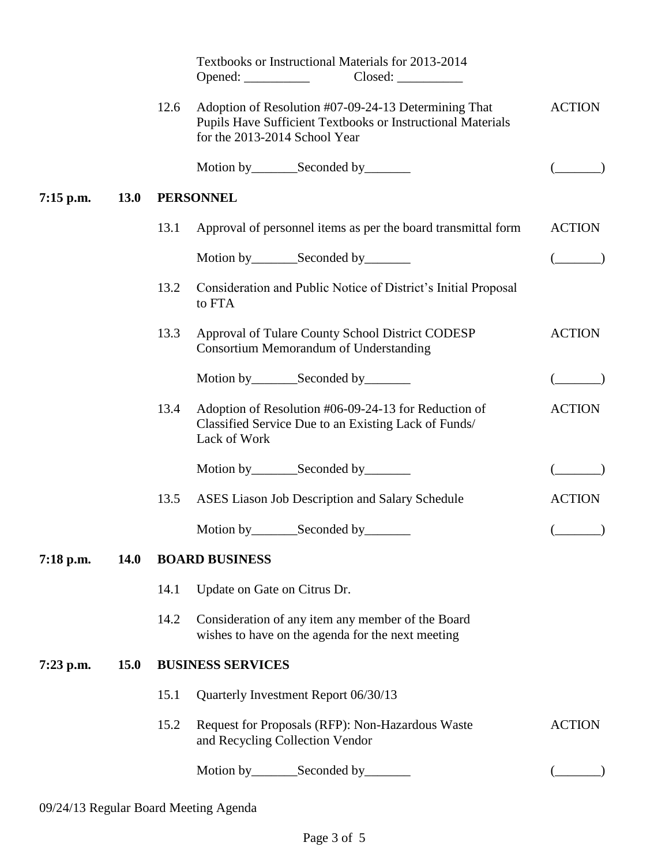|             |             |                  | Textbooks or Instructional Materials for 2013-2014<br>Closed:                                                                                        |                          |  |  |
|-------------|-------------|------------------|------------------------------------------------------------------------------------------------------------------------------------------------------|--------------------------|--|--|
|             |             | 12.6             | Adoption of Resolution #07-09-24-13 Determining That<br>Pupils Have Sufficient Textbooks or Instructional Materials<br>for the 2013-2014 School Year | <b>ACTION</b>            |  |  |
|             |             |                  | Motion by ____________Seconded by ___________                                                                                                        |                          |  |  |
| $7:15$ p.m. | <b>13.0</b> | <b>PERSONNEL</b> |                                                                                                                                                      |                          |  |  |
|             |             | 13.1             | Approval of personnel items as per the board transmittal form                                                                                        | <b>ACTION</b>            |  |  |
|             |             |                  |                                                                                                                                                      | $\overline{\phantom{a}}$ |  |  |
|             |             | 13.2             | Consideration and Public Notice of District's Initial Proposal<br>to FTA                                                                             |                          |  |  |
|             |             | 13.3             | Approval of Tulare County School District CODESP<br><b>Consortium Memorandum of Understanding</b>                                                    | <b>ACTION</b>            |  |  |
|             |             |                  | Motion by_________Seconded by________                                                                                                                |                          |  |  |
|             |             | 13.4             | Adoption of Resolution #06-09-24-13 for Reduction of<br>Classified Service Due to an Existing Lack of Funds/<br>Lack of Work                         | <b>ACTION</b>            |  |  |
|             |             |                  | Motion by __________ Seconded by _________                                                                                                           |                          |  |  |
|             |             | 13.5             | ASES Liason Job Description and Salary Schedule                                                                                                      | <b>ACTION</b>            |  |  |
|             |             |                  | Motion by________Seconded by________                                                                                                                 |                          |  |  |
| 7:18 p.m.   | 14.0        |                  | <b>BOARD BUSINESS</b>                                                                                                                                |                          |  |  |
|             |             | 14.1             | Update on Gate on Citrus Dr.                                                                                                                         |                          |  |  |
|             |             | 14.2             | Consideration of any item any member of the Board<br>wishes to have on the agenda for the next meeting                                               |                          |  |  |
| $7:23$ p.m. | 15.0        |                  | <b>BUSINESS SERVICES</b>                                                                                                                             |                          |  |  |
|             |             | 15.1             | Quarterly Investment Report 06/30/13                                                                                                                 |                          |  |  |
|             |             | 15.2             | Request for Proposals (RFP): Non-Hazardous Waste<br>and Recycling Collection Vendor                                                                  | <b>ACTION</b>            |  |  |
|             |             |                  | Motion by __________ Seconded by _________                                                                                                           |                          |  |  |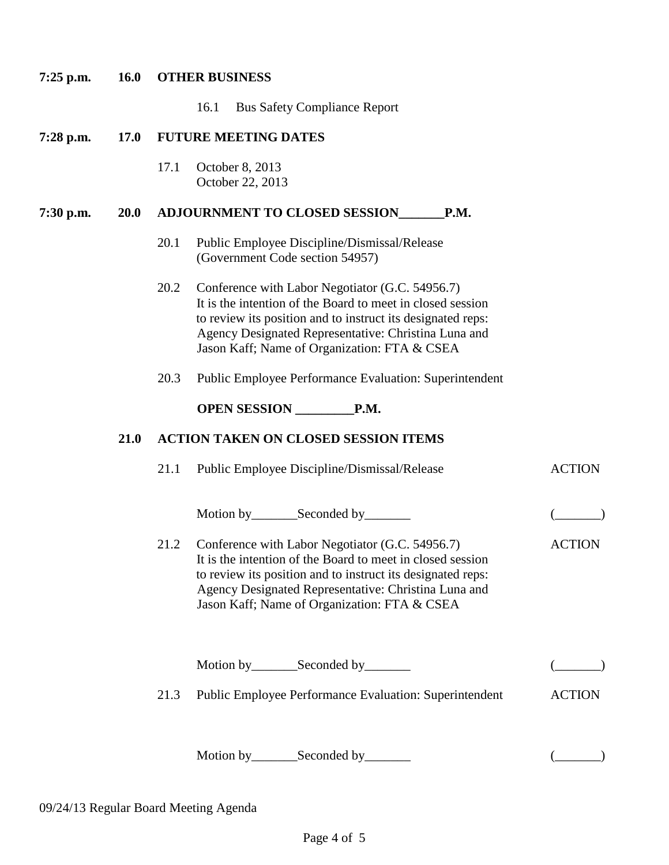# **7:25 p.m. 16.0 OTHER BUSINESS** 16.1 Bus Safety Compliance Report **7:28 p.m. 17.0 FUTURE MEETING DATES** 17.1 October 8, 2013 October 22, 2013 **7:30 p.m. 20.0 ADJOURNMENT TO CLOSED SESSION\_\_\_\_\_\_\_P.M.** 20.1 Public Employee Discipline/Dismissal/Release (Government Code section 54957) 20.2 Conference with Labor Negotiator (G.C. 54956.7) It is the intention of the Board to meet in closed session to review its position and to instruct its designated reps: Agency Designated Representative: Christina Luna and Jason Kaff; Name of Organization: FTA & CSEA 20.3 Public Employee Performance Evaluation: Superintendent **OPEN SESSION \_\_\_\_\_\_\_\_\_P.M. 8:25 p.m. 21.0 21.0 ACTION TAKEN ON CLOSED SESSION ITEMS** 21.1 Public Employee Discipline/Dismissal/Release ACTION Motion by Seconded by (Compact of Compact of Compact of Compact of Compact of Compact of Compact of Compact of Compact of Compact of Compact of Compact of Compact of Compact of Compact of Compact of Compact of Compact of C 21.2 Conference with Labor Negotiator (G.C. 54956.7) ACTION It is the intention of the Board to meet in closed session to review its position and to instruct its designated reps: Agency Designated Representative: Christina Luna and Jason Kaff; Name of Organization: FTA & CSEA Motion by Seconded by (Compact of Compact of Compact of Compact of Compact of Compact of Compact of Compact of Compact of Compact of Compact of Compact of Compact of Compact of Compact of Compact of Compact of Compact of C 21.3 Public Employee Performance Evaluation: Superintendent ACTION Motion by\_\_\_\_\_\_\_Seconded by\_\_\_\_\_\_\_ (\_\_\_\_\_\_\_)